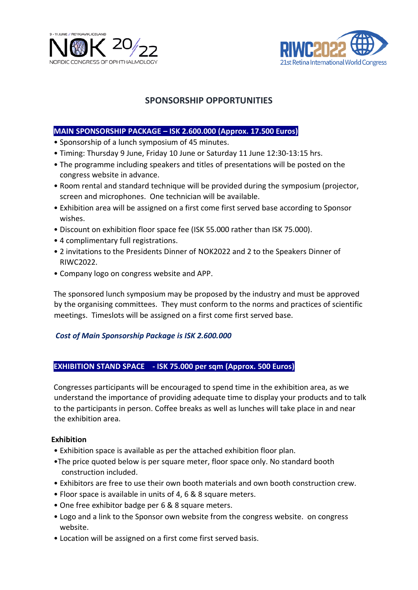



# **SPONSORSHIP OPPORTUNITIES**

### **MAIN SPONSORSHIP PACKAGE – ISK 2.600.000 (Approx. 17.500 Euros)**

- Sponsorship of a lunch symposium of 45 minutes.
- Timing: Thursday 9 June, Friday 10 June or Saturday 11 June 12:30-13:15 hrs.
- The programme including speakers and titles of presentations will be posted on the congress website in advance.
- Room rental and standard technique will be provided during the symposium (projector, screen and microphones. One technician will be available.
- Exhibition area will be assigned on a first come first served base according to Sponsor wishes.
- Discount on exhibition floor space fee (ISK 55.000 rather than ISK 75.000).
- 4 complimentary full registrations.
- 2 invitations to the Presidents Dinner of NOK2022 and 2 to the Speakers Dinner of RIWC2022.
- Company logo on congress website and APP.

The sponsored lunch symposium may be proposed by the industry and must be approved by the organising committees. They must conform to the norms and practices of scientific meetings. Timeslots will be assigned on a first come first served base.

## *Cost of Main Sponsorship Package is ISK 2.600.000*

#### **EXHIBITION STAND SPACE - ISK 75.000 per sqm (Approx. 500 Euros)**

Congresses participants will be encouraged to spend time in the exhibition area, as we understand the importance of providing adequate time to display your products and to talk to the participants in person. Coffee breaks as well as lunches will take place in and near the exhibition area.

#### **Exhibition**

- Exhibition space is available as per the attached exhibition floor plan.
- •The price quoted below is per square meter, floor space only. No standard booth construction included.
- Exhibitors are free to use their own booth materials and own booth construction crew.
- Floor space is available in units of 4, 6 & 8 square meters.
- One free exhibitor badge per 6 & 8 square meters.
- Logo and a link to the Sponsor own website from the congress website. on congress website.
- Location will be assigned on a first come first served basis.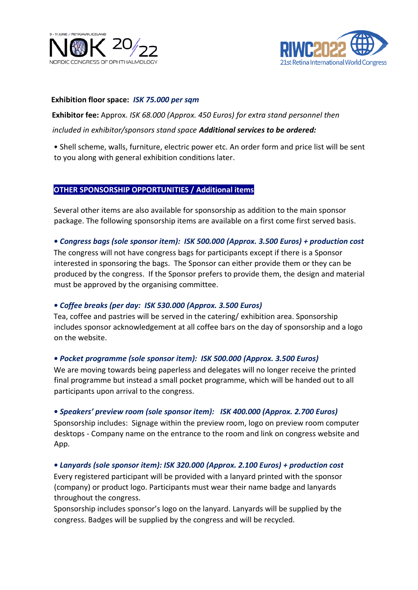



#### **Exhibition floor space:** *ISK 75.000 per sqm*

**Exhibitor fee:** Approx. *ISK 68.000 (Approx. 450 Euros) for extra stand personnel then included in exhibitor/sponsors stand space Additional services to be ordered:* 

• Shell scheme, walls, furniture, electric power etc. An order form and price list will be sent to you along with general exhibition conditions later.

## **OTHER SPONSORSHIP OPPORTUNITIES / Additional items**

Several other items are also available for sponsorship as addition to the main sponsor package. The following sponsorship items are available on a first come first served basis.

#### *• Congress bags (sole sponsor item): ISK 500.000 (Approx. 3.500 Euros) + production cost*

The congress will not have congress bags for participants except if there is a Sponsor interested in sponsoring the bags. The Sponsor can either provide them or they can be produced by the congress. If the Sponsor prefers to provide them, the design and material must be approved by the organising committee.

#### *• Coffee breaks (per day: ISK 530.000 (Approx. 3.500 Euros)*

Tea, coffee and pastries will be served in the catering/ exhibition area. Sponsorship includes sponsor acknowledgement at all coffee bars on the day of sponsorship and a logo on the website.

## *• Pocket programme (sole sponsor item): ISK 500.000 (Approx. 3.500 Euros)*

We are moving towards being paperless and delegates will no longer receive the printed final programme but instead a small pocket programme, which will be handed out to all participants upon arrival to the congress.

## *• Speakers' preview room (sole sponsor item): ISK 400.000 (Approx. 2.700 Euros)*

Sponsorship includes: Signage within the preview room, logo on preview room computer desktops - Company name on the entrance to the room and link on congress website and App.

## *• Lanyards (sole sponsor item): ISK 320.000 (Approx. 2.100 Euros) + production cost*

Every registered participant will be provided with a lanyard printed with the sponsor (company) or product logo. Participants must wear their name badge and lanyards throughout the congress.

Sponsorship includes sponsor's logo on the lanyard. Lanyards will be supplied by the congress. Badges will be supplied by the congress and will be recycled.